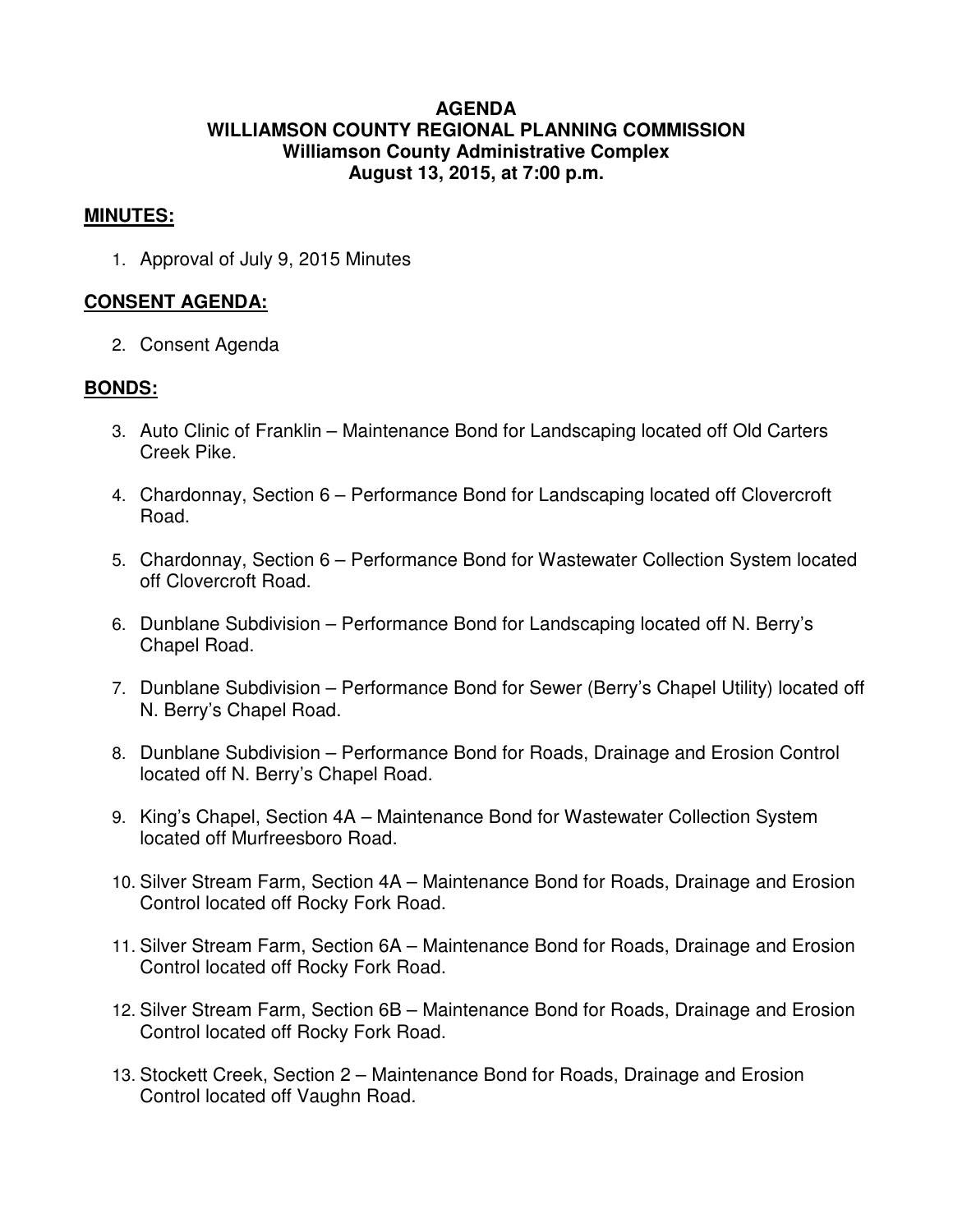#### **AGENDA WILLIAMSON COUNTY REGIONAL PLANNING COMMISSION Williamson County Administrative Complex August 13, 2015, at 7:00 p.m.**

#### **MINUTES:**

1. Approval of July 9, 2015 Minutes

#### **CONSENT AGENDA:**

2. Consent Agenda

#### **BONDS:**

- 3. Auto Clinic of Franklin Maintenance Bond for Landscaping located off Old Carters Creek Pike.
- 4. Chardonnay, Section 6 Performance Bond for Landscaping located off Clovercroft Road.
- 5. Chardonnay, Section 6 Performance Bond for Wastewater Collection System located off Clovercroft Road.
- 6. Dunblane Subdivision Performance Bond for Landscaping located off N. Berry's Chapel Road.
- 7. Dunblane Subdivision Performance Bond for Sewer (Berry's Chapel Utility) located off N. Berry's Chapel Road.
- 8. Dunblane Subdivision Performance Bond for Roads, Drainage and Erosion Control located off N. Berry's Chapel Road.
- 9. King's Chapel, Section 4A Maintenance Bond for Wastewater Collection System located off Murfreesboro Road.
- 10. Silver Stream Farm, Section 4A Maintenance Bond for Roads, Drainage and Erosion Control located off Rocky Fork Road.
- 11. Silver Stream Farm, Section 6A Maintenance Bond for Roads, Drainage and Erosion Control located off Rocky Fork Road.
- 12. Silver Stream Farm, Section 6B Maintenance Bond for Roads, Drainage and Erosion Control located off Rocky Fork Road.
- 13. Stockett Creek, Section 2 Maintenance Bond for Roads, Drainage and Erosion Control located off Vaughn Road.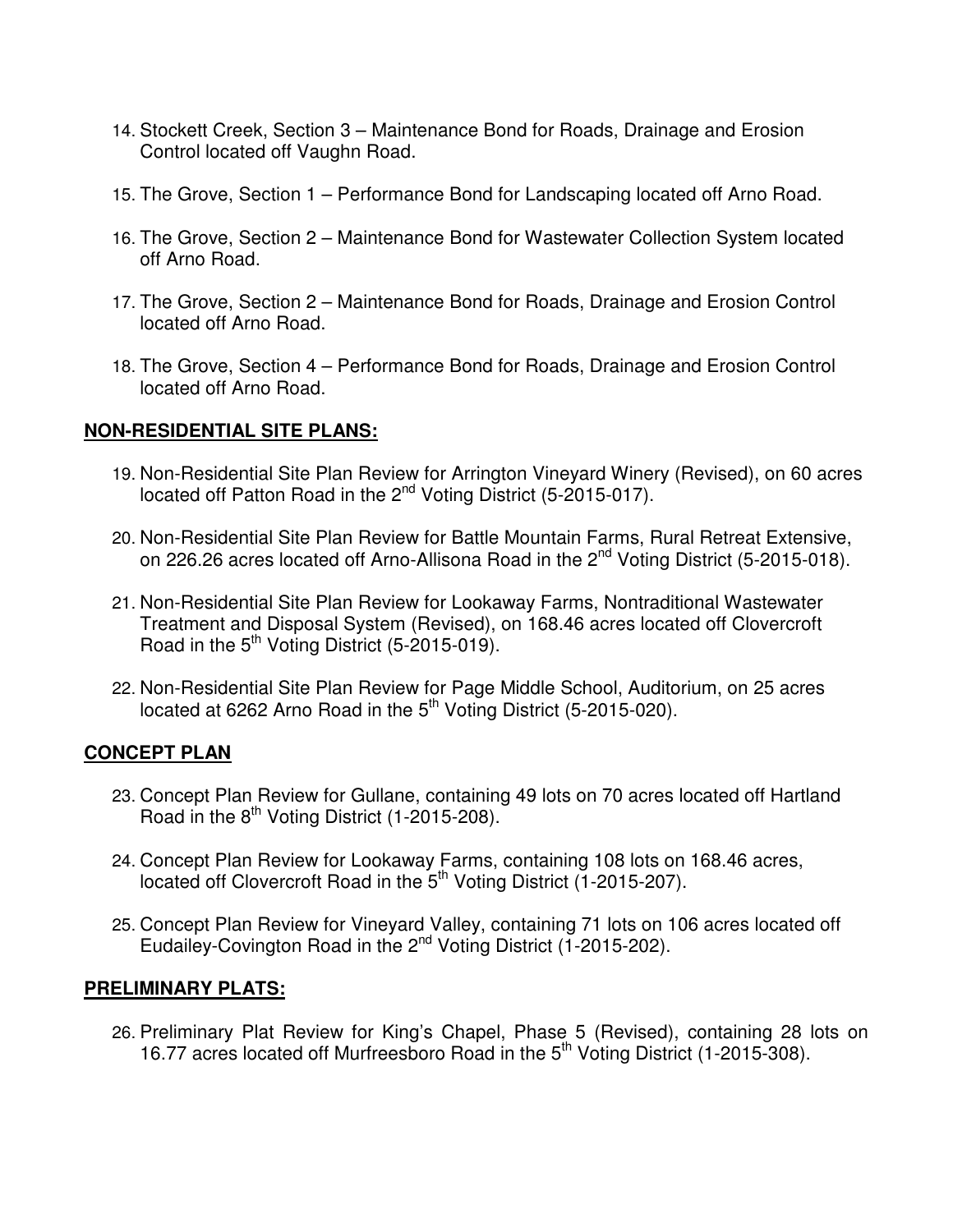- 14. Stockett Creek, Section 3 Maintenance Bond for Roads, Drainage and Erosion Control located off Vaughn Road.
- 15. The Grove, Section 1 Performance Bond for Landscaping located off Arno Road.
- 16. The Grove, Section 2 Maintenance Bond for Wastewater Collection System located off Arno Road.
- 17. The Grove, Section 2 Maintenance Bond for Roads, Drainage and Erosion Control located off Arno Road.
- 18. The Grove, Section 4 Performance Bond for Roads, Drainage and Erosion Control located off Arno Road.

## **NON-RESIDENTIAL SITE PLANS:**

- 19. Non-Residential Site Plan Review for Arrington Vineyard Winery (Revised), on 60 acres located off Patton Road in the 2<sup>nd</sup> Voting District (5-2015-017).
- 20. Non-Residential Site Plan Review for Battle Mountain Farms, Rural Retreat Extensive, on 226.26 acres located off Arno-Allisona Road in the 2<sup>nd</sup> Voting District (5-2015-018).
- 21. Non-Residential Site Plan Review for Lookaway Farms, Nontraditional Wastewater Treatment and Disposal System (Revised), on 168.46 acres located off Clovercroft Road in the  $5<sup>th</sup>$  Voting District (5-2015-019).
- 22. Non-Residential Site Plan Review for Page Middle School, Auditorium, on 25 acres located at 6262 Arno Road in the 5<sup>th</sup> Voting District (5-2015-020).

## **CONCEPT PLAN**

- 23. Concept Plan Review for Gullane, containing 49 lots on 70 acres located off Hartland Road in the  $8^{th}$  Voting District (1-2015-208).
- 24. Concept Plan Review for Lookaway Farms, containing 108 lots on 168.46 acres, located off Clovercroft Road in the 5<sup>th</sup> Voting District (1-2015-207).
- 25. Concept Plan Review for Vineyard Valley, containing 71 lots on 106 acres located off Eudailey-Covington Road in the 2<sup>nd</sup> Voting District (1-2015-202).

## **PRELIMINARY PLATS:**

26. Preliminary Plat Review for King's Chapel, Phase 5 (Revised), containing 28 lots on 16.77 acres located off Murfreesboro Road in the 5<sup>th</sup> Voting District (1-2015-308).